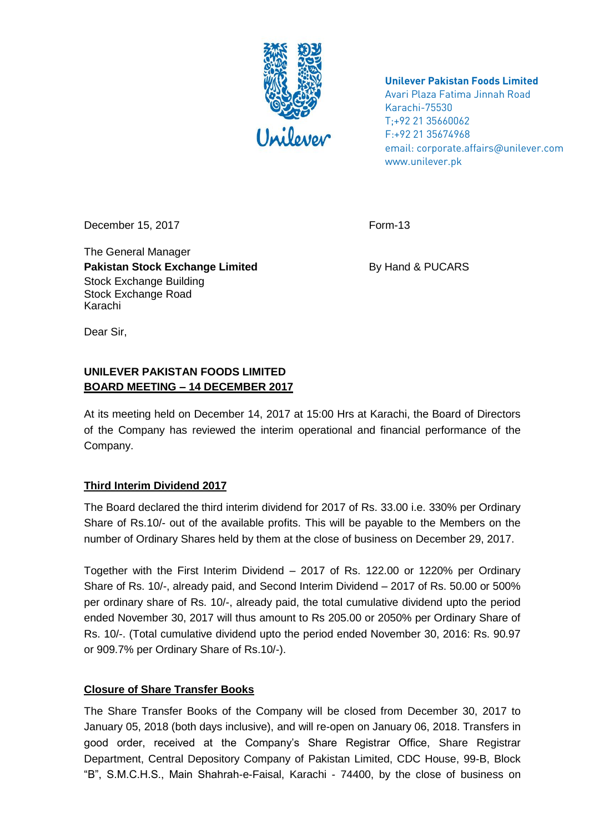

**Unilever Pakistan Foods Limited**

Avari Plaza Fatima Jinnah Road Karachi-75530 T;+92 21 35660062 F:+92 21 35674968 email: corporate.affairs@unilever.com www.unilever.pk

December 15, 2017 Form-13

The General Manager **Pakistan Stock Exchange Limited By Hand & PUCARS** Stock Exchange Building Stock Exchange Road Karachi

Dear Sir,

## **UNILEVER PAKISTAN FOODS LIMITED BOARD MEETING – 14 DECEMBER 2017**

At its meeting held on December 14, 2017 at 15:00 Hrs at Karachi, the Board of Directors of the Company has reviewed the interim operational and financial performance of the Company.

## **Third Interim Dividend 2017**

The Board declared the third interim dividend for 2017 of Rs. 33.00 i.e. 330% per Ordinary Share of Rs.10/- out of the available profits. This will be payable to the Members on the number of Ordinary Shares held by them at the close of business on December 29, 2017.

Together with the First Interim Dividend – 2017 of Rs. 122.00 or 1220% per Ordinary Share of Rs. 10/-, already paid, and Second Interim Dividend – 2017 of Rs. 50.00 or 500% per ordinary share of Rs. 10/-, already paid, the total cumulative dividend upto the period ended November 30, 2017 will thus amount to Rs 205.00 or 2050% per Ordinary Share of Rs. 10/-. (Total cumulative dividend upto the period ended November 30, 2016: Rs. 90.97 or 909.7% per Ordinary Share of Rs.10/-).

## **Closure of Share Transfer Books**

The Share Transfer Books of the Company will be closed from December 30, 2017 to January 05, 2018 (both days inclusive), and will re-open on January 06, 2018. Transfers in good order, received at the Company's Share Registrar Office, Share Registrar Department, Central Depository Company of Pakistan Limited, CDC House, 99-B, Block "B", S.M.C.H.S., Main Shahrah-e-Faisal, Karachi - 74400, by the close of business on